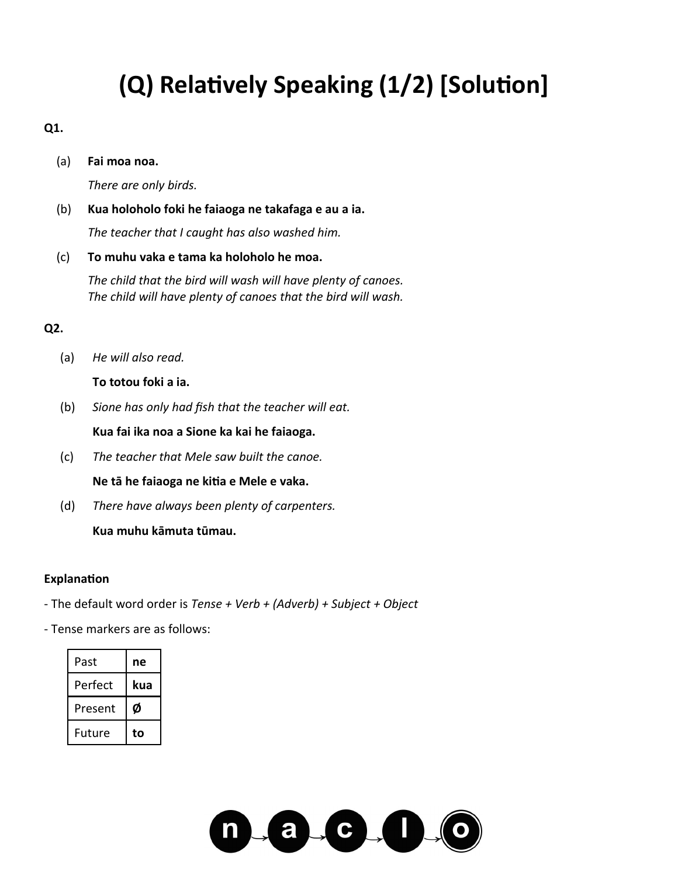## **(Q) Relatively Speaking (1/2) [Solution]**

#### **Q1.**

(a) **Fai moa noa.**

*There are only birds.*

(b) **Kua holoholo foki he faiaoga ne takafaga e au a ia.** *The teacher that I caught has also washed him.*

(c) **To muhu vaka e tama ka holoholo he moa.**

*The child that the bird will wash will have plenty of canoes. The child will have plenty of canoes that the bird will wash.*

### **Q2.**

(a) *He will also read.*

**To totou foki a ia.**

(b) *Sione has only had fish that the teacher will eat.*

**Kua fai ika noa a Sione ka kai he faiaoga.**

- (c) *The teacher that Mele saw built the canoe.* **Ne tā he faiaoga ne kitia e Mele e vaka.**
- (d) *There have always been plenty of carpenters.*

**Kua muhu kāmuta tūmau.**

#### **Explanation**

- The default word order is *Tense + Verb + (Adverb) + Subject + Object*
- Tense markers are as follows:

| Past    | ne  |
|---------|-----|
| Perfect | kua |
| Present | Ø   |
| Future  | to  |